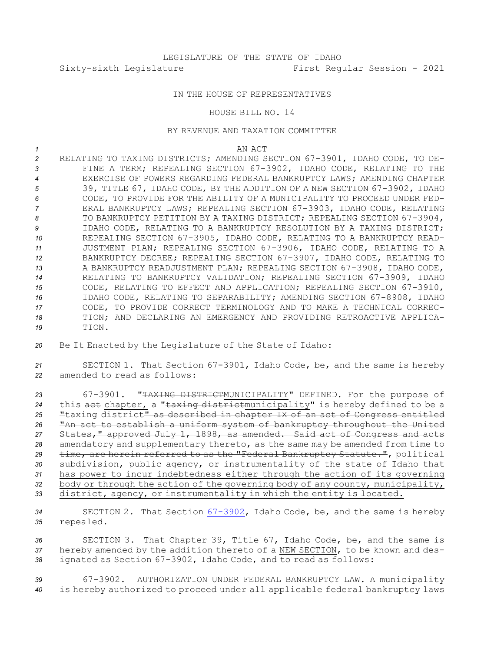## IN THE HOUSE OF REPRESENTATIVES

## HOUSE BILL NO. 14

## BY REVENUE AND TAXATION COMMITTEE

*1* AN ACT

 RELATING TO TAXING DISTRICTS; AMENDING SECTION 67-3901, IDAHO CODE, TO DE- FINE A TERM; REPEALING SECTION 67-3902, IDAHO CODE, RELATING TO THE EXERCISE OF POWERS REGARDING FEDERAL BANKRUPTCY LAWS; AMENDING CHAPTER 39, TITLE 67, IDAHO CODE, BY THE ADDITION OF A NEW SECTION 67-3902, IDAHO CODE, TO PROVIDE FOR THE ABILITY OF A MUNICIPALITY TO PROCEED UNDER FED- ERAL BANKRUPTCY LAWS; REPEALING SECTION 67-3903, IDAHO CODE, RELATING 8 TO BANKRUPTCY PETITION BY A TAXING DISTRICT; REPEALING SECTION 67-3904, IDAHO CODE, RELATING TO A BANKRUPTCY RESOLUTION BY A TAXING DISTRICT; REPEALING SECTION 67-3905, IDAHO CODE, RELATING TO A BANKRUPTCY READ- JUSTMENT PLAN; REPEALING SECTION 67-3906, IDAHO CODE, RELATING TO A BANKRUPTCY DECREE; REPEALING SECTION 67-3907, IDAHO CODE, RELATING TO A BANKRUPTCY READJUSTMENT PLAN; REPEALING SECTION 67-3908, IDAHO CODE, RELATING TO BANKRUPTCY VALIDATION; REPEALING SECTION 67-3909, IDAHO CODE, RELATING TO EFFECT AND APPLICATION; REPEALING SECTION 67-3910, IDAHO CODE, RELATING TO SEPARABILITY; AMENDING SECTION 67-8908, IDAHO CODE, TO PROVIDE CORRECT TERMINOLOGY AND TO MAKE A TECHNICAL CORREC- TION; AND DECLARING AN EMERGENCY AND PROVIDING RETROACTIVE APPLICA-*19* TION.

*<sup>20</sup>* Be It Enacted by the Legislature of the State of Idaho:

*<sup>21</sup>* SECTION 1. That Section 67-3901, Idaho Code, be, and the same is hereby *22* amended to read as follows:

 67-3901. "TAXING DISTRICTMUNICIPALITY" DEFINED. For the purpose of this act chapter, <sup>a</sup> "taxing districtmunicipality" is hereby defined to be <sup>a</sup> "taxing district" as described in chapter IX of an act of Congress entitled "An act to establish <sup>a</sup> uniform system of bankruptcy throughout the United States," approved July 1, 1898, as amended. Said act of Congress and acts amendatory and supplementary thereto, as the same may be amended from time to time, are herein referred to as the "Federal Bankruptcy Statute.", political subdivision, public agency, or instrumentality of the state of Idaho that has power to incur indebtedness either through the action of its governing body or through the action of the governing body of any county, municipality, district, agency, or instrumentality in which the entity is located.

*<sup>34</sup>* SECTION 2. That Section [67-3902](https://legislature.idaho.gov/statutesrules/idstat/Title67/T67CH39/SECT67-3902), Idaho Code, be, and the same is hereby *<sup>35</sup>* repealed.

*<sup>36</sup>* SECTION 3. That Chapter 39, Title 67, Idaho Code, be, and the same is *<sup>37</sup>* hereby amended by the addition thereto of <sup>a</sup> NEW SECTION, to be known and des-*<sup>38</sup>* ignated as Section 67-3902, Idaho Code, and to read as follows:

*<sup>39</sup>* 67-3902. AUTHORIZATION UNDER FEDERAL BANKRUPTCY LAW. <sup>A</sup> municipality *<sup>40</sup>* is hereby authorized to proceed under all applicable federal bankruptcy laws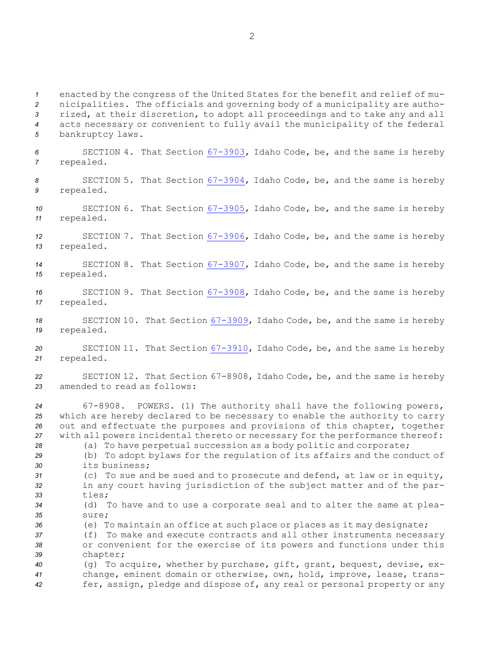enacted by the congress of the United States for the benefit and relief of mu- nicipalities. The officials and governing body of <sup>a</sup> municipality are autho- rized, at their discretion, to adopt all proceedings and to take any and all acts necessary or convenient to fully avail the municipality of the federal bankruptcy laws. SECTION 4. That Section [67-3903](https://legislature.idaho.gov/statutesrules/idstat/Title67/T67CH39/SECT67-3903), Idaho Code, be, and the same is hereby repealed. SECTION 5. That Section [67-3904](https://legislature.idaho.gov/statutesrules/idstat/Title67/T67CH39/SECT67-3904), Idaho Code, be, and the same is hereby repealed.

*<sup>10</sup>* SECTION 6. That Section [67-3905](https://legislature.idaho.gov/statutesrules/idstat/Title67/T67CH39/SECT67-3905), Idaho Code, be, and the same is hereby *<sup>11</sup>* repealed.

*<sup>12</sup>* SECTION 7. That Section [67-3906](https://legislature.idaho.gov/statutesrules/idstat/Title67/T67CH39/SECT67-3906), Idaho Code, be, and the same is hereby *<sup>13</sup>* repealed.

*<sup>14</sup>* SECTION 8. That Section [67-3907](https://legislature.idaho.gov/statutesrules/idstat/Title67/T67CH39/SECT67-3907), Idaho Code, be, and the same is hereby *<sup>15</sup>* repealed.

*<sup>16</sup>* SECTION 9. That Section [67-3908](https://legislature.idaho.gov/statutesrules/idstat/Title67/T67CH39/SECT67-3908), Idaho Code, be, and the same is hereby *<sup>17</sup>* repealed.

*<sup>18</sup>* SECTION 10. That Section [67-3909](https://legislature.idaho.gov/statutesrules/idstat/Title67/T67CH39/SECT67-3909), Idaho Code, be, and the same is hereby *<sup>19</sup>* repealed.

*<sup>20</sup>* SECTION 11. That Section [67-3910](https://legislature.idaho.gov/statutesrules/idstat/Title67/T67CH39/SECT67-3910), Idaho Code, be, and the same is hereby *<sup>21</sup>* repealed.

*<sup>22</sup>* SECTION 12. That Section 67-8908, Idaho Code, be, and the same is hereby *23* amended to read as follows:

 67-8908. POWERS. (1) The authority shall have the following powers, which are hereby declared to be necessary to enable the authority to carry out and effectuate the purposes and provisions of this chapter, together with all powers incidental thereto or necessary for the performance thereof:

*<sup>28</sup>* (a) To have perpetual succession as <sup>a</sup> body politic and corporate;

*<sup>29</sup>* (b) To adopt bylaws for the regulation of its affairs and the conduct of *30* its business;

*<sup>31</sup>* (c) To sue and be sued and to prosecute and defend, at law or in equity, *<sup>32</sup>* in any court having jurisdiction of the subject matter and of the par-*33* ties;

*<sup>34</sup>* (d) To have and to use <sup>a</sup> corporate seal and to alter the same at plea-*35* sure;

*<sup>36</sup>* (e) To maintain an office at such place or places as it may designate;

*<sup>37</sup>* (f) To make and execute contracts and all other instruments necessary *<sup>38</sup>* or convenient for the exercise of its powers and functions under this *<sup>39</sup>* chapter;

*<sup>40</sup>* (g) To acquire, whether by purchase, gift, grant, bequest, devise, ex-*<sup>41</sup>* change, eminent domain or otherwise, own, hold, improve, lease, trans-*<sup>42</sup>* fer, assign, pledge and dispose of, any real or personal property or any

2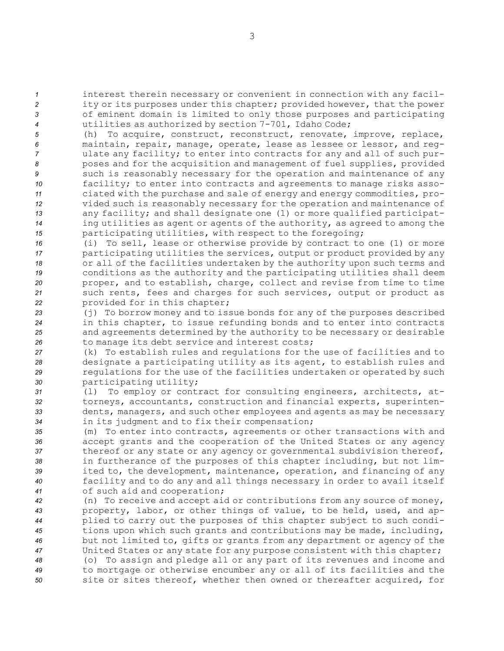interest therein necessary or convenient in connection with any facil- ity or its purposes under this chapter; provided however, that the power of eminent domain is limited to only those purposes and participating utilities as authorized by section 7-701, Idaho Code;

 (h) To acquire, construct, reconstruct, renovate, improve, replace, maintain, repair, manage, operate, lease as lessee or lessor, and reg- ulate any facility; to enter into contracts for any and all of such pur- poses and for the acquisition and management of fuel supplies, provided such is reasonably necessary for the operation and maintenance of any facility; to enter into contracts and agreements to manage risks asso- ciated with the purchase and sale of energy and energy commodities, pro- vided such is reasonably necessary for the operation and maintenance of any facility; and shall designate one (1) or more qualified participat- ing utilities as agent or agents of the authority, as agreed to among the **participating utilities, with respect to the foregoing;** 

 (i) To sell, lease or otherwise provide by contract to one (1) or more **participating utilities the services, output or product provided by any**  or all of the facilities undertaken by the authority upon such terms and conditions as the authority and the participating utilities shall deem proper, and to establish, charge, collect and revise from time to time such rents, fees and charges for such services, output or product as provided for in this chapter;

 (j) To borrow money and to issue bonds for any of the purposes described in this chapter, to issue refunding bonds and to enter into contracts and agreements determined by the authority to be necessary or desirable to manage its debt service and interest costs;

 (k) To establish rules and regulations for the use of facilities and to designate <sup>a</sup> participating utility as its agent, to establish rules and regulations for the use of the facilities undertaken or operated by such participating utility;

 (l) To employ or contract for consulting engineers, architects, at- torneys, accountants, construction and financial experts, superinten- dents, managers, and such other employees and agents as may be necessary in its judgment and to fix their compensation;

 (m) To enter into contracts, agreements or other transactions with and accept grants and the cooperation of the United States or any agency thereof or any state or any agency or governmental subdivision thereof, in furtherance of the purposes of this chapter including, but not lim- ited to, the development, maintenance, operation, and financing of any facility and to do any and all things necessary in order to avail itself of such aid and cooperation;

 (n) To receive and accept aid or contributions from any source of money, property, labor, or other things of value, to be held, used, and ap- plied to carry out the purposes of this chapter subject to such condi- tions upon which such grants and contributions may be made, including, but not limited to, gifts or grants from any department or agency of the United States or any state for any purpose consistent with this chapter; (o) To assign and pledge all or any part of its revenues and income and to mortgage or otherwise encumber any or all of its facilities and the site or sites thereof, whether then owned or thereafter acquired, for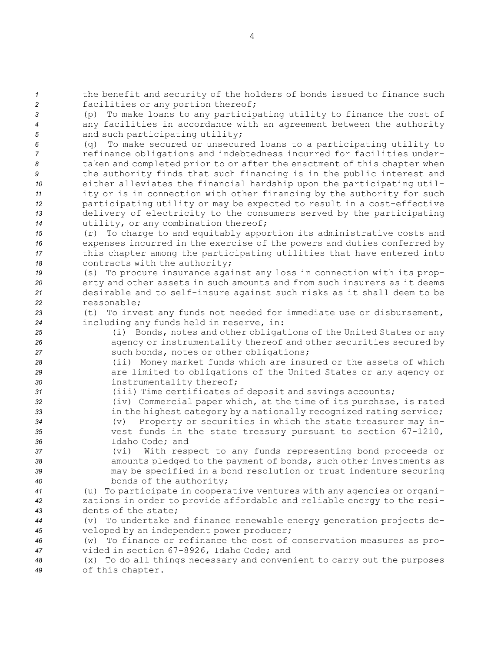*<sup>1</sup>* the benefit and security of the holders of bonds issued to finance such *<sup>2</sup>* facilities or any portion thereof;

*<sup>3</sup>* (p) To make loans to any participating utility to finance the cost of *<sup>4</sup>* any facilities in accordance with an agreement between the authority 5 and such participating utility;

 (q) To make secured or unsecured loans to <sup>a</sup> participating utility to refinance obligations and indebtedness incurred for facilities under- taken and completed prior to or after the enactment of this chapter when the authority finds that such financing is in the public interest and either alleviates the financial hardship upon the participating util- ity or is in connection with other financing by the authority for such participating utility or may be expected to result in <sup>a</sup> cost-effective delivery of electricity to the consumers served by the participating utility, or any combination thereof;

 (r) To charge to and equitably apportion its administrative costs and expenses incurred in the exercise of the powers and duties conferred by this chapter among the participating utilities that have entered into 18 contracts with the authority;

 (s) To procure insurance against any loss in connection with its prop- erty and other assets in such amounts and from such insurers as it deems desirable and to self-insure against such risks as it shall deem to be reasonable;

*<sup>23</sup>* (t) To invest any funds not needed for immediate use or disbursement, *<sup>24</sup>* including any funds held in reserve, in:

- *<sup>25</sup>* (i) Bonds, notes and other obligations of the United States or any *<sup>26</sup>* agency or instrumentality thereof and other securities secured by *<sup>27</sup>* such bonds, notes or other obligations;
- *<sup>28</sup>* (ii) Money market funds which are insured or the assets of which *<sup>29</sup>* are limited to obligations of the United States or any agency or *<sup>30</sup>* instrumentality thereof;
- *<sup>31</sup>* (iii) Time certificates of deposit and savings accounts;
- *<sup>32</sup>* (iv) Commercial paper which, at the time of its purchase, is rated 33 **in the highest category by a nationally recognized rating service;** *<sup>34</sup>* (v) Property or securities in which the state treasurer may in-*<sup>35</sup>* vest funds in the state treasury pursuant to section 67-1210, *36* Idaho Code; and
- *<sup>37</sup>* (vi) With respect to any funds representing bond proceeds or *<sup>38</sup>* amounts pledged to the payment of bonds, such other investments as *<sup>39</sup>* may be specified in <sup>a</sup> bond resolution or trust indenture securing *<sup>40</sup>* bonds of the authority;
- *<sup>41</sup>* (u) To participate in cooperative ventures with any agencies or organi-*<sup>42</sup>* zations in order to provide affordable and reliable energy to the resi-*43* dents of the state;
- *<sup>44</sup>* (v) To undertake and finance renewable energy generation projects de-*<sup>45</sup>* veloped by an independent power producer;
- *<sup>46</sup>* (w) To finance or refinance the cost of conservation measures as pro-*<sup>47</sup>* vided in section 67-8926, Idaho Code; and
- *<sup>48</sup>* (x) To do all things necessary and convenient to carry out the purposes *<sup>49</sup>* of this chapter.